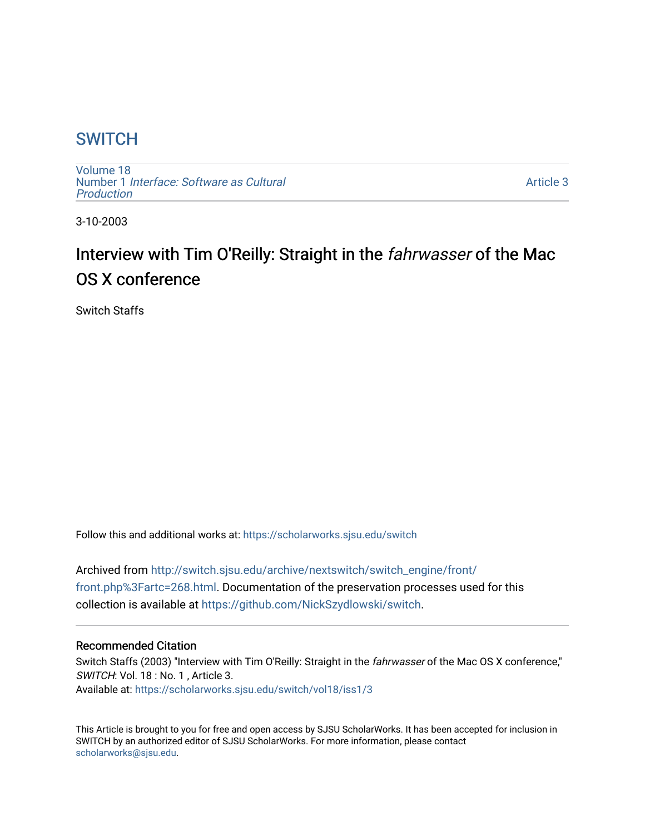# **SWITCH**

[Volume 18](https://scholarworks.sjsu.edu/switch/vol18) Number 1 [Interface: Software as Cultural](https://scholarworks.sjsu.edu/switch/vol18/iss1)  [Production](https://scholarworks.sjsu.edu/switch/vol18/iss1)

[Article 3](https://scholarworks.sjsu.edu/switch/vol18/iss1/3) 

3-10-2003

# Interview with Tim O'Reilly: Straight in the fahrwasser of the Mac OS X conference

Switch Staffs

Follow this and additional works at: [https://scholarworks.sjsu.edu/switch](https://scholarworks.sjsu.edu/switch?utm_source=scholarworks.sjsu.edu%2Fswitch%2Fvol18%2Fiss1%2F3&utm_medium=PDF&utm_campaign=PDFCoverPages)

Archived from [http://switch.sjsu.edu/archive/nextswitch/switch\\_engine/front/](http://switch.sjsu.edu/archive/nextswitch/switch_engine/front/front.php%3Fartc=268.html) [front.php%3Fartc=268.html.](http://switch.sjsu.edu/archive/nextswitch/switch_engine/front/front.php%3Fartc=268.html) Documentation of the preservation processes used for this collection is available at [https://github.com/NickSzydlowski/switch.](https://github.com/NickSzydlowski/switch)

#### Recommended Citation

Switch Staffs (2003) "Interview with Tim O'Reilly: Straight in the fahrwasser of the Mac OS X conference," SWITCH: Vol. 18 : No. 1, Article 3. Available at: [https://scholarworks.sjsu.edu/switch/vol18/iss1/3](https://scholarworks.sjsu.edu/switch/vol18/iss1/3?utm_source=scholarworks.sjsu.edu%2Fswitch%2Fvol18%2Fiss1%2F3&utm_medium=PDF&utm_campaign=PDFCoverPages) 

This Article is brought to you for free and open access by SJSU ScholarWorks. It has been accepted for inclusion in SWITCH by an authorized editor of SJSU ScholarWorks. For more information, please contact [scholarworks@sjsu.edu](mailto:scholarworks@sjsu.edu).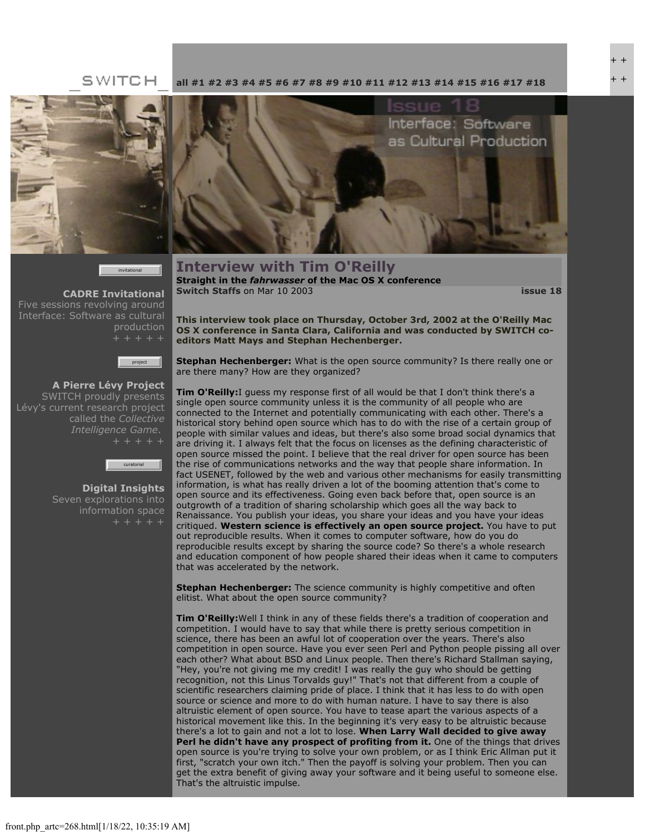### SWITCH



invitational

**[CADRE Invitational](file:///Users/nszydlowski/Desktop/websites%20copy/Switch%20Journal/switch.sjsu.edu/archive/nextswitch/switch_engine/front/front.php_cat%3d45.html)** Five sessions revolving around Interface: Software as cultural production



**[A Pierre Lévy Project](file:///Users/nszydlowski/Desktop/websites%20copy/Switch%20Journal/switch.sjsu.edu/archive/nextswitch/switch_engine/front/front.php_cat%3d48.html)** SWITCH proudly presents Lévy's current research project called the *Collective Intelligence Game*.



**[Digital Insights](file:///Users/nszydlowski/Desktop/websites%20copy/Switch%20Journal/switch.sjsu.edu/archive/nextswitch/switch_engine/front/front.php_cat%3d46.html)** Seven explorations into information space

Interface: Software as Cultural Production

**Interview with Tim O'Reilly Straight in the** *fahrwasser* **of the Mac OS X conference [Switch Staffs](file:///Users/nszydlowski/Desktop/websites%20copy/Switch%20Journal/switch.sjsu.edu/archive/nextswitch/switch_engine/front/users.php_w%3d12.html)** on Mar 10 2003 **[issue 18](file:///Users/nszydlowski/Desktop/websites%20copy/Switch%20Journal/switch.sjsu.edu/archive/nextswitch/switch_engine/front/front.php_cat%3d44.html)**

**This interview took place on Thursday, October 3rd, 2002 at the O'Reilly Mac OS X conference in Santa Clara, California and was conducted by SWITCH coeditors Matt Mays and Stephan Hechenberger.** 

**[all](file:///Users/nszydlowski/Desktop/websites%20copy/Switch%20Journal/switch.sjsu.edu/archive/nextswitch/switch_engine/front/front.php.html) [#1](file:///Users/nszydlowski/Desktop/websites%20copy/Switch%20Journal/switch.sjsu.edu/archive/nextswitch/switch_engine/front/front.php_cat%3d5.html) [#2](file:///Users/nszydlowski/Desktop/websites%20copy/Switch%20Journal/switch.sjsu.edu/archive/nextswitch/switch_engine/front/front.php_cat%3d6.html) [#3](file:///Users/nszydlowski/Desktop/websites%20copy/Switch%20Journal/switch.sjsu.edu/archive/nextswitch/switch_engine/front/front.php_cat%3d7.html) [#4](file:///Users/nszydlowski/Desktop/websites%20copy/Switch%20Journal/switch.sjsu.edu/archive/nextswitch/switch_engine/front/front.php_cat%3d8.html) [#5](file:///Users/nszydlowski/Desktop/websites%20copy/Switch%20Journal/switch.sjsu.edu/archive/nextswitch/switch_engine/front/front.php_cat%3d9.html) [#6](file:///Users/nszydlowski/Desktop/websites%20copy/Switch%20Journal/switch.sjsu.edu/archive/nextswitch/switch_engine/front/front.php_cat%3d10.html) [#7](file:///Users/nszydlowski/Desktop/websites%20copy/Switch%20Journal/switch.sjsu.edu/archive/nextswitch/switch_engine/front/front.php_cat%3d11.html) [#8](file:///Users/nszydlowski/Desktop/websites%20copy/Switch%20Journal/switch.sjsu.edu/archive/nextswitch/switch_engine/front/front.php_cat%3d12.html) [#9](file:///Users/nszydlowski/Desktop/websites%20copy/Switch%20Journal/switch.sjsu.edu/archive/nextswitch/switch_engine/front/front.php_cat%3d13.html) [#10](file:///Users/nszydlowski/Desktop/websites%20copy/Switch%20Journal/switch.sjsu.edu/archive/nextswitch/switch_engine/front/front.php_cat%3d14.html) [#11](file:///Users/nszydlowski/Desktop/websites%20copy/Switch%20Journal/switch.sjsu.edu/archive/nextswitch/switch_engine/front/front.php_cat%3d15.html) [#12](file:///Users/nszydlowski/Desktop/websites%20copy/Switch%20Journal/switch.sjsu.edu/archive/nextswitch/switch_engine/front/front.php_cat%3d16.html) [#13](file:///Users/nszydlowski/Desktop/websites%20copy/Switch%20Journal/switch.sjsu.edu/archive/nextswitch/switch_engine/front/front.php_cat%3d17.html) [#14](file:///Users/nszydlowski/Desktop/websites%20copy/Switch%20Journal/switch.sjsu.edu/archive/nextswitch/switch_engine/front/front.php_cat%3d18.html) [#15](file:///Users/nszydlowski/Desktop/websites%20copy/Switch%20Journal/switch.sjsu.edu/archive/nextswitch/switch_engine/front/front.php_cat%3d19.html) [#16](file:///Users/nszydlowski/Desktop/websites%20copy/Switch%20Journal/switch.sjsu.edu/archive/nextswitch/switch_engine/front/front.php_cat%3d20.html) [#17](file:///Users/nszydlowski/Desktop/websites%20copy/Switch%20Journal/switch.sjsu.edu/archive/nextswitch/switch_engine/front/front.php_cat%3d21.html) [#18](file:///Users/nszydlowski/Desktop/websites%20copy/Switch%20Journal/switch.sjsu.edu/archive/nextswitch/switch_engine/front/front.php_cat%3d44.html)**

**Stephan Hechenberger:** What is the open source community? Is there really one or are there many? How are they organized?

**Tim O'Reilly:**I guess my response first of all would be that I don't think there's a single open source community unless it is the community of all people who are connected to the Internet and potentially communicating with each other. There's a historical story behind open source which has to do with the rise of a certain group of people with similar values and ideas, but there's also some broad social dynamics that are driving it. I always felt that the focus on licenses as the defining characteristic of open source missed the point. I believe that the real driver for open source has been the rise of communications networks and the way that people share information. In fact USENET, followed by the web and various other mechanisms for easily transmitting information, is what has really driven a lot of the booming attention that's come to open source and its effectiveness. Going even back before that, open source is an outgrowth of a tradition of sharing scholarship which goes all the way back to Renaissance. You publish your ideas, you share your ideas and you have your ideas critiqued. **Western science is effectively an open source project.** You have to put out reproducible results. When it comes to computer software, how do you do reproducible results except by sharing the source code? So there's a whole research and education component of how people shared their ideas when it came to computers that was accelerated by the network.

**Stephan Hechenberger:** The science community is highly competitive and often elitist. What about the open source community?

**Tim O'Reilly:**Well I think in any of these fields there's a tradition of cooperation and competition. I would have to say that while there is pretty serious competition in science, there has been an awful lot of cooperation over the years. There's also competition in open source. Have you ever seen Perl and Python people pissing all over each other? What about BSD and Linux people. Then there's Richard Stallman saying, "Hey, you're not giving me my credit! I was really the guy who should be getting recognition, not this Linus Torvalds guy!" That's not that different from a couple of scientific researchers claiming pride of place. I think that it has less to do with open source or science and more to do with human nature. I have to say there is also altruistic element of open source. You have to tease apart the various aspects of a historical movement like this. In the beginning it's very easy to be altruistic because there's a lot to gain and not a lot to lose. **When Larry Wall decided to give away Perl he didn't have any prospect of profiting from it.** One of the things that drives open source is you're trying to solve your own problem, or as I think Eric Allman put it first, "scratch your own itch." Then the payoff is solving your problem. Then you can get the extra benefit of giving away your software and it being useful to someone else. That's the altruistic impulse.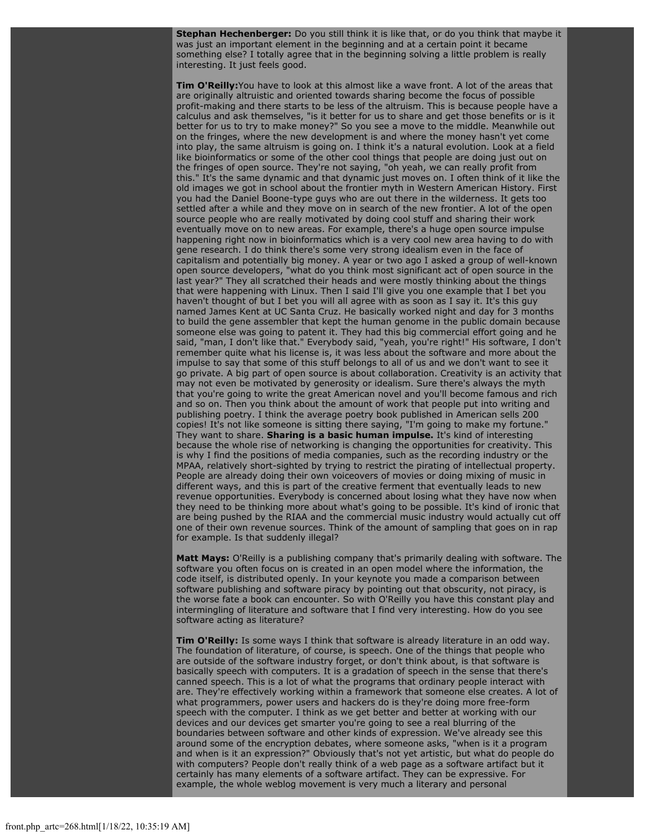**Stephan Hechenberger:** Do you still think it is like that, or do you think that maybe it was just an important element in the beginning and at a certain point it became something else? I totally agree that in the beginning solving a little problem is really interesting. It just feels good.

**Tim O'Reilly:**You have to look at this almost like a wave front. A lot of the areas that are originally altruistic and oriented towards sharing become the focus of possible profit-making and there starts to be less of the altruism. This is because people have a calculus and ask themselves, "is it better for us to share and get those benefits or is it better for us to try to make money?" So you see a move to the middle. Meanwhile out on the fringes, where the new development is and where the money hasn't yet come into play, the same altruism is going on. I think it's a natural evolution. Look at a field like bioinformatics or some of the other cool things that people are doing just out on the fringes of open source. They're not saying, "oh yeah, we can really profit from this." It's the same dynamic and that dynamic just moves on. I often think of it like the old images we got in school about the frontier myth in Western American History. First you had the Daniel Boone-type guys who are out there in the wilderness. It gets too settled after a while and they move on in search of the new frontier. A lot of the open source people who are really motivated by doing cool stuff and sharing their work eventually move on to new areas. For example, there's a huge open source impulse happening right now in bioinformatics which is a very cool new area having to do with gene research. I do think there's some very strong idealism even in the face of capitalism and potentially big money. A year or two ago I asked a group of well-known open source developers, "what do you think most significant act of open source in the last year?" They all scratched their heads and were mostly thinking about the things that were happening with Linux. Then I said I'll give you one example that I bet you haven't thought of but I bet you will all agree with as soon as I say it. It's this guy named James Kent at UC Santa Cruz. He basically worked night and day for 3 months to build the gene assembler that kept the human genome in the public domain because someone else was going to patent it. They had this big commercial effort going and he said, "man, I don't like that." Everybody said, "yeah, you're right!" His software, I don't remember quite what his license is, it was less about the software and more about the impulse to say that some of this stuff belongs to all of us and we don't want to see it go private. A big part of open source is about collaboration. Creativity is an activity that may not even be motivated by generosity or idealism. Sure there's always the myth that you're going to write the great American novel and you'll become famous and rich and so on. Then you think about the amount of work that people put into writing and publishing poetry. I think the average poetry book published in American sells 200 copies! It's not like someone is sitting there saying, "I'm going to make my fortune." They want to share. **Sharing is a basic human impulse.** It's kind of interesting because the whole rise of networking is changing the opportunities for creativity. This is why I find the positions of media companies, such as the recording industry or the MPAA, relatively short-sighted by trying to restrict the pirating of intellectual property. People are already doing their own voiceovers of movies or doing mixing of music in different ways, and this is part of the creative ferment that eventually leads to new revenue opportunities. Everybody is concerned about losing what they have now when they need to be thinking more about what's going to be possible. It's kind of ironic that are being pushed by the RIAA and the commercial music industry would actually cut off one of their own revenue sources. Think of the amount of sampling that goes on in rap for example. Is that suddenly illegal?

**Matt Mays:** O'Reilly is a publishing company that's primarily dealing with software. The software you often focus on is created in an open model where the information, the code itself, is distributed openly. In your keynote you made a comparison between software publishing and software piracy by pointing out that obscurity, not piracy, is the worse fate a book can encounter. So with O'Reilly you have this constant play and intermingling of literature and software that I find very interesting. How do you see software acting as literature?

**Tim O'Reilly:** Is some ways I think that software is already literature in an odd way. The foundation of literature, of course, is speech. One of the things that people who are outside of the software industry forget, or don't think about, is that software is basically speech with computers. It is a gradation of speech in the sense that there's canned speech. This is a lot of what the programs that ordinary people interact with are. They're effectively working within a framework that someone else creates. A lot of what programmers, power users and hackers do is they're doing more free-form speech with the computer. I think as we get better and better at working with our devices and our devices get smarter you're going to see a real blurring of the boundaries between software and other kinds of expression. We've already see this around some of the encryption debates, where someone asks, "when is it a program and when is it an expression?" Obviously that's not yet artistic, but what do people do with computers? People don't really think of a web page as a software artifact but it certainly has many elements of a software artifact. They can be expressive. For example, the whole weblog movement is very much a literary and personal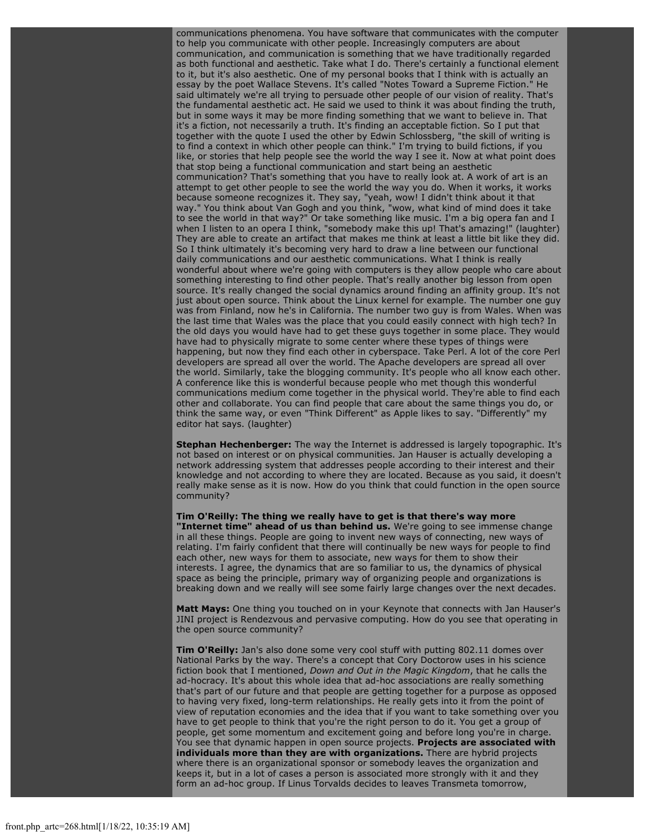communications phenomena. You have software that communicates with the computer to help you communicate with other people. Increasingly computers are about communication, and communication is something that we have traditionally regarded as both functional and aesthetic. Take what I do. There's certainly a functional element to it, but it's also aesthetic. One of my personal books that I think with is actually an essay by the poet Wallace Stevens. It's called "Notes Toward a Supreme Fiction." He said ultimately we're all trying to persuade other people of our vision of reality. That's the fundamental aesthetic act. He said we used to think it was about finding the truth, but in some ways it may be more finding something that we want to believe in. That it's a fiction, not necessarily a truth. It's finding an acceptable fiction. So I put that together with the quote I used the other by Edwin Schlossberg, "the skill of writing is to find a context in which other people can think." I'm trying to build fictions, if you like, or stories that help people see the world the way I see it. Now at what point does that stop being a functional communication and start being an aesthetic communication? That's something that you have to really look at. A work of art is an attempt to get other people to see the world the way you do. When it works, it works because someone recognizes it. They say, "yeah, wow! I didn't think about it that way." You think about Van Gogh and you think, "wow, what kind of mind does it take to see the world in that way?" Or take something like music. I'm a big opera fan and I when I listen to an opera I think, "somebody make this up! That's amazing!" (laughter) They are able to create an artifact that makes me think at least a little bit like they did. So I think ultimately it's becoming very hard to draw a line between our functional daily communications and our aesthetic communications. What I think is really wonderful about where we're going with computers is they allow people who care about something interesting to find other people. That's really another big lesson from open source. It's really changed the social dynamics around finding an affinity group. It's not just about open source. Think about the Linux kernel for example. The number one guy was from Finland, now he's in California. The number two guy is from Wales. When was the last time that Wales was the place that you could easily connect with high tech? In the old days you would have had to get these guys together in some place. They would have had to physically migrate to some center where these types of things were happening, but now they find each other in cyberspace. Take Perl. A lot of the core Perl developers are spread all over the world. The Apache developers are spread all over the world. Similarly, take the blogging community. It's people who all know each other. A conference like this is wonderful because people who met though this wonderful communications medium come together in the physical world. They're able to find each other and collaborate. You can find people that care about the same things you do, or think the same way, or even "Think Different" as Apple likes to say. "Differently" my editor hat says. (laughter)

**Stephan Hechenberger:** The way the Internet is addressed is largely topographic. It's not based on interest or on physical communities. Jan Hauser is actually developing a network addressing system that addresses people according to their interest and their knowledge and not according to where they are located. Because as you said, it doesn't really make sense as it is now. How do you think that could function in the open source community?

**Tim O'Reilly: The thing we really have to get is that there's way more "Internet time" ahead of us than behind us.** We're going to see immense change in all these things. People are going to invent new ways of connecting, new ways of relating. I'm fairly confident that there will continually be new ways for people to find each other, new ways for them to associate, new ways for them to show their interests. I agree, the dynamics that are so familiar to us, the dynamics of physical space as being the principle, primary way of organizing people and organizations is breaking down and we really will see some fairly large changes over the next decades.

**Matt Mays:** One thing you touched on in your Keynote that connects with Jan Hauser's JINI project is Rendezvous and pervasive computing. How do you see that operating in the open source community?

**Tim O'Reilly:** Jan's also done some very cool stuff with putting 802.11 domes over National Parks by the way. There's a concept that Cory Doctorow uses in his science fiction book that I mentioned, *Down and Out in the Magic Kingdom*, that he calls the ad-hocracy. It's about this whole idea that ad-hoc associations are really something that's part of our future and that people are getting together for a purpose as opposed to having very fixed, long-term relationships. He really gets into it from the point of view of reputation economies and the idea that if you want to take something over you have to get people to think that you're the right person to do it. You get a group of people, get some momentum and excitement going and before long you're in charge. You see that dynamic happen in open source projects. **Projects are associated with individuals more than they are with organizations.** There are hybrid projects where there is an organizational sponsor or somebody leaves the organization and keeps it, but in a lot of cases a person is associated more strongly with it and they form an ad-hoc group. If Linus Torvalds decides to leaves Transmeta tomorrow,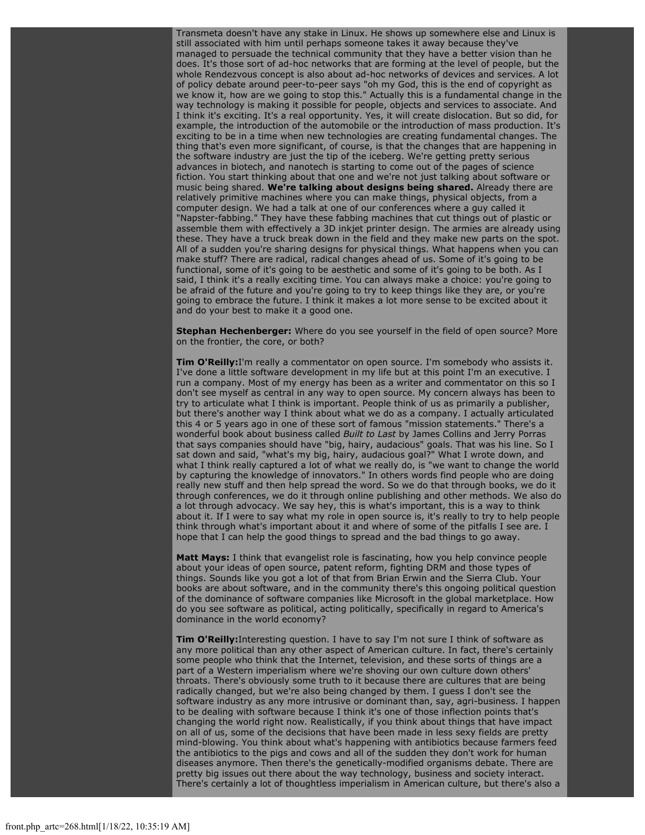Transmeta doesn't have any stake in Linux. He shows up somewhere else and Linux is still associated with him until perhaps someone takes it away because they've managed to persuade the technical community that they have a better vision than he does. It's those sort of ad-hoc networks that are forming at the level of people, but the whole Rendezvous concept is also about ad-hoc networks of devices and services. A lot of policy debate around peer-to-peer says "oh my God, this is the end of copyright as we know it, how are we going to stop this." Actually this is a fundamental change in the way technology is making it possible for people, objects and services to associate. And I think it's exciting. It's a real opportunity. Yes, it will create dislocation. But so did, for example, the introduction of the automobile or the introduction of mass production. It's exciting to be in a time when new technologies are creating fundamental changes. The thing that's even more significant, of course, is that the changes that are happening in the software industry are just the tip of the iceberg. We're getting pretty serious advances in biotech, and nanotech is starting to come out of the pages of science fiction. You start thinking about that one and we're not just talking about software or music being shared. **We're talking about designs being shared.** Already there are relatively primitive machines where you can make things, physical objects, from a computer design. We had a talk at one of our conferences where a guy called it "Napster-fabbing." They have these fabbing machines that cut things out of plastic or assemble them with effectively a 3D inkjet printer design. The armies are already using these. They have a truck break down in the field and they make new parts on the spot. All of a sudden you're sharing designs for physical things. What happens when you can make stuff? There are radical, radical changes ahead of us. Some of it's going to be functional, some of it's going to be aesthetic and some of it's going to be both. As I said, I think it's a really exciting time. You can always make a choice: you're going to be afraid of the future and you're going to try to keep things like they are, or you're going to embrace the future. I think it makes a lot more sense to be excited about it and do your best to make it a good one.

**Stephan Hechenberger:** Where do you see yourself in the field of open source? More on the frontier, the core, or both?

**Tim O'Reilly:**I'm really a commentator on open source. I'm somebody who assists it. I've done a little software development in my life but at this point I'm an executive. I run a company. Most of my energy has been as a writer and commentator on this so I don't see myself as central in any way to open source. My concern always has been to try to articulate what I think is important. People think of us as primarily a publisher, but there's another way I think about what we do as a company. I actually articulated this 4 or 5 years ago in one of these sort of famous "mission statements." There's a wonderful book about business called *Built to Last* by James Collins and Jerry Porras that says companies should have "big, hairy, audacious" goals. That was his line. So I sat down and said, "what's my big, hairy, audacious goal?" What I wrote down, and what I think really captured a lot of what we really do, is "we want to change the world by capturing the knowledge of innovators." In others words find people who are doing really new stuff and then help spread the word. So we do that through books, we do it through conferences, we do it through online publishing and other methods. We also do a lot through advocacy. We say hey, this is what's important, this is a way to think about it. If I were to say what my role in open source is, it's really to try to help people think through what's important about it and where of some of the pitfalls I see are. I hope that I can help the good things to spread and the bad things to go away.

**Matt Mays:** I think that evangelist role is fascinating, how you help convince people about your ideas of open source, patent reform, fighting DRM and those types of things. Sounds like you got a lot of that from Brian Erwin and the Sierra Club. Your books are about software, and in the community there's this ongoing political question of the dominance of software companies like Microsoft in the global marketplace. How do you see software as political, acting politically, specifically in regard to America's dominance in the world economy?

**Tim O'Reilly:**Interesting question. I have to say I'm not sure I think of software as any more political than any other aspect of American culture. In fact, there's certainly some people who think that the Internet, television, and these sorts of things are a part of a Western imperialism where we're shoving our own culture down others' throats. There's obviously some truth to it because there are cultures that are being radically changed, but we're also being changed by them. I guess I don't see the software industry as any more intrusive or dominant than, say, agri-business. I happen to be dealing with software because I think it's one of those inflection points that's changing the world right now. Realistically, if you think about things that have impact on all of us, some of the decisions that have been made in less sexy fields are pretty mind-blowing. You think about what's happening with antibiotics because farmers feed the antibiotics to the pigs and cows and all of the sudden they don't work for human diseases anymore. Then there's the genetically-modified organisms debate. There are pretty big issues out there about the way technology, business and society interact. There's certainly a lot of thoughtless imperialism in American culture, but there's also a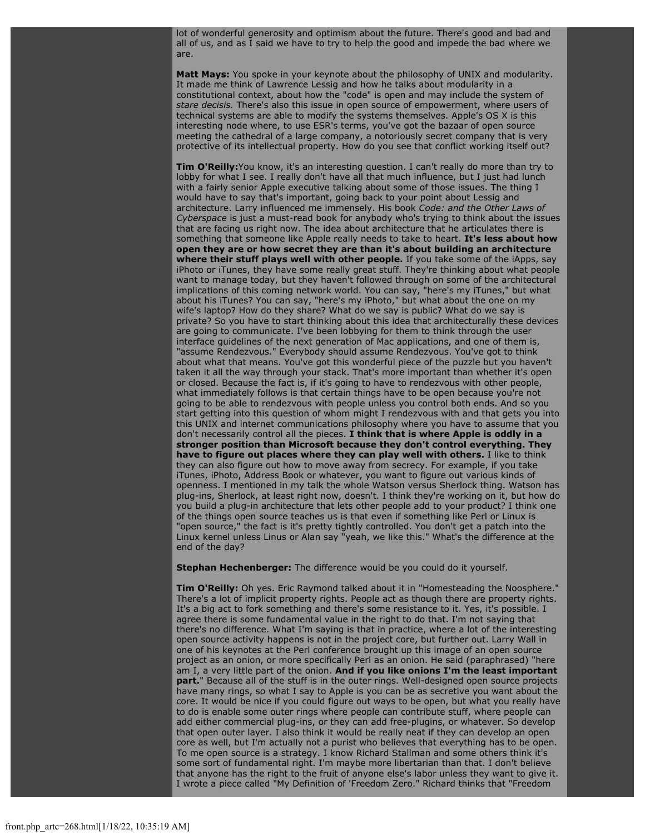lot of wonderful generosity and optimism about the future. There's good and bad and all of us, and as I said we have to try to help the good and impede the bad where we are.

**Matt Mays:** You spoke in your keynote about the philosophy of UNIX and modularity. It made me think of Lawrence Lessig and how he talks about modularity in a constitutional context, about how the "code" is open and may include the system of *stare decisis.* There's also this issue in open source of empowerment, where users of technical systems are able to modify the systems themselves. Apple's OS X is this interesting node where, to use ESR's terms, you've got the bazaar of open source meeting the cathedral of a large company, a notoriously secret company that is very protective of its intellectual property. How do you see that conflict working itself out?

**Tim O'Reilly:**You know, it's an interesting question. I can't really do more than try to lobby for what I see. I really don't have all that much influence, but I just had lunch with a fairly senior Apple executive talking about some of those issues. The thing I would have to say that's important, going back to your point about Lessig and architecture. Larry influenced me immensely. His book *Code: and the Other Laws of Cyberspace* is just a must-read book for anybody who's trying to think about the issues that are facing us right now. The idea about architecture that he articulates there is something that someone like Apple really needs to take to heart. **It's less about how open they are or how secret they are than it's about building an architecture where their stuff plays well with other people.** If you take some of the iApps, say iPhoto or iTunes, they have some really great stuff. They're thinking about what people want to manage today, but they haven't followed through on some of the architectural implications of this coming network world. You can say, "here's my iTunes," but what about his iTunes? You can say, "here's my iPhoto," but what about the one on my wife's laptop? How do they share? What do we say is public? What do we say is private? So you have to start thinking about this idea that architecturally these devices are going to communicate. I've been lobbying for them to think through the user interface guidelines of the next generation of Mac applications, and one of them is, "assume Rendezvous." Everybody should assume Rendezvous. You've got to think about what that means. You've got this wonderful piece of the puzzle but you haven't taken it all the way through your stack. That's more important than whether it's open or closed. Because the fact is, if it's going to have to rendezvous with other people, what immediately follows is that certain things have to be open because you're not going to be able to rendezvous with people unless you control both ends. And so you start getting into this question of whom might I rendezvous with and that gets you into this UNIX and internet communications philosophy where you have to assume that you don't necessarily control all the pieces. **I think that is where Apple is oddly in a stronger position than Microsoft because they don't control everything. They have to figure out places where they can play well with others.** I like to think they can also figure out how to move away from secrecy. For example, if you take iTunes, iPhoto, Address Book or whatever, you want to figure out various kinds of openness. I mentioned in my talk the whole Watson versus Sherlock thing. Watson has plug-ins, Sherlock, at least right now, doesn't. I think they're working on it, but how do you build a plug-in architecture that lets other people add to your product? I think one of the things open source teaches us is that even if something like Perl or Linux is "open source," the fact is it's pretty tightly controlled. You don't get a patch into the Linux kernel unless Linus or Alan say "yeah, we like this." What's the difference at the end of the day?

**Stephan Hechenberger:** The difference would be you could do it yourself.

**Tim O'Reilly:** Oh yes. Eric Raymond talked about it in "Homesteading the Noosphere." There's a lot of implicit property rights. People act as though there are property rights. It's a big act to fork something and there's some resistance to it. Yes, it's possible. I agree there is some fundamental value in the right to do that. I'm not saying that there's no difference. What I'm saying is that in practice, where a lot of the interesting open source activity happens is not in the project core, but further out. Larry Wall in one of his keynotes at the Perl conference brought up this image of an open source project as an onion, or more specifically Perl as an onion. He said (paraphrased) "here am I, a very little part of the onion. **And if you like onions I'm the least important part.**" Because all of the stuff is in the outer rings. Well-designed open source projects have many rings, so what I say to Apple is you can be as secretive you want about the core. It would be nice if you could figure out ways to be open, but what you really have to do is enable some outer rings where people can contribute stuff, where people can add either commercial plug-ins, or they can add free-plugins, or whatever. So develop that open outer layer. I also think it would be really neat if they can develop an open core as well, but I'm actually not a purist who believes that everything has to be open. To me open source is a strategy. I know Richard Stallman and some others think it's some sort of fundamental right. I'm maybe more libertarian than that. I don't believe that anyone has the right to the fruit of anyone else's labor unless they want to give it. I wrote a piece called "My Definition of 'Freedom Zero." Richard thinks that "Freedom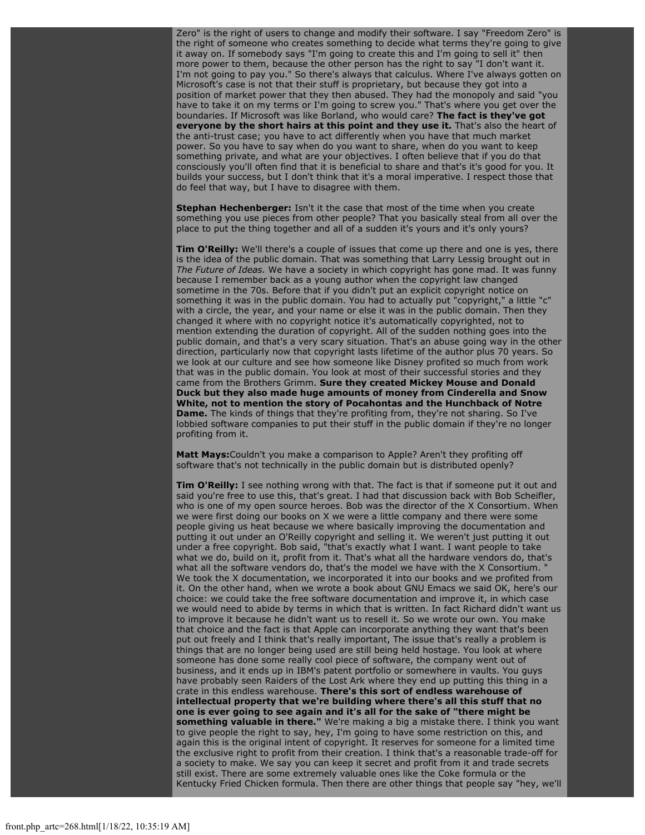Zero" is the right of users to change and modify their software. I say "Freedom Zero" is the right of someone who creates something to decide what terms they're going to give it away on. If somebody says "I'm going to create this and I'm going to sell it" then more power to them, because the other person has the right to say "I don't want it. I'm not going to pay you." So there's always that calculus. Where I've always gotten on Microsoft's case is not that their stuff is proprietary, but because they got into a position of market power that they then abused. They had the monopoly and said "you have to take it on my terms or I'm going to screw you." That's where you get over the boundaries. If Microsoft was like Borland, who would care? **The fact is they've got everyone by the short hairs at this point and they use it.** That's also the heart of the anti-trust case; you have to act differently when you have that much market power. So you have to say when do you want to share, when do you want to keep something private, and what are your objectives. I often believe that if you do that consciously you'll often find that it is beneficial to share and that's it's good for you. It builds your success, but I don't think that it's a moral imperative. I respect those that do feel that way, but I have to disagree with them.

**Stephan Hechenberger:** Isn't it the case that most of the time when you create something you use pieces from other people? That you basically steal from all over the place to put the thing together and all of a sudden it's yours and it's only yours?

**Tim O'Reilly:** We'll there's a couple of issues that come up there and one is yes, there is the idea of the public domain. That was something that Larry Lessig brought out in *The Future of Ideas.* We have a society in which copyright has gone mad. It was funny because I remember back as a young author when the copyright law changed sometime in the 70s. Before that if you didn't put an explicit copyright notice on something it was in the public domain. You had to actually put "copyright," a little "c" with a circle, the year, and your name or else it was in the public domain. Then they changed it where with no copyright notice it's automatically copyrighted, not to mention extending the duration of copyright. All of the sudden nothing goes into the public domain, and that's a very scary situation. That's an abuse going way in the other direction, particularly now that copyright lasts lifetime of the author plus 70 years. So we look at our culture and see how someone like Disney profited so much from work that was in the public domain. You look at most of their successful stories and they came from the Brothers Grimm. **Sure they created Mickey Mouse and Donald Duck but they also made huge amounts of money from Cinderella and Snow White, not to mention the story of Pocahontas and the Hunchback of Notre Dame.** The kinds of things that they're profiting from, they're not sharing. So I've lobbied software companies to put their stuff in the public domain if they're no longer profiting from it.

**Matt Mays:**Couldn't you make a comparison to Apple? Aren't they profiting off software that's not technically in the public domain but is distributed openly?

**Tim O'Reilly:** I see nothing wrong with that. The fact is that if someone put it out and said you're free to use this, that's great. I had that discussion back with Bob Scheifler, who is one of my open source heroes. Bob was the director of the X Consortium. When we were first doing our books on X we were a little company and there were some people giving us heat because we where basically improving the documentation and putting it out under an O'Reilly copyright and selling it. We weren't just putting it out under a free copyright. Bob said, "that's exactly what I want. I want people to take what we do, build on it, profit from it. That's what all the hardware vendors do, that's what all the software vendors do, that's the model we have with the X Consortium. We took the X documentation, we incorporated it into our books and we profited from it. On the other hand, when we wrote a book about GNU Emacs we said OK, here's our choice: we could take the free software documentation and improve it, in which case we would need to abide by terms in which that is written. In fact Richard didn't want us to improve it because he didn't want us to resell it. So we wrote our own. You make that choice and the fact is that Apple can incorporate anything they want that's been put out freely and I think that's really important, The issue that's really a problem is things that are no longer being used are still being held hostage. You look at where someone has done some really cool piece of software, the company went out of business, and it ends up in IBM's patent portfolio or somewhere in vaults. You guys have probably seen Raiders of the Lost Ark where they end up putting this thing in a crate in this endless warehouse. **There's this sort of endless warehouse of intellectual property that we're building where there's all this stuff that no one is ever going to see again and it's all for the sake of "there might be something valuable in there."** We're making a big a mistake there. I think you want to give people the right to say, hey, I'm going to have some restriction on this, and again this is the original intent of copyright. It reserves for someone for a limited time the exclusive right to profit from their creation. I think that's a reasonable trade-off for a society to make. We say you can keep it secret and profit from it and trade secrets still exist. There are some extremely valuable ones like the Coke formula or the Kentucky Fried Chicken formula. Then there are other things that people say "hey, we'll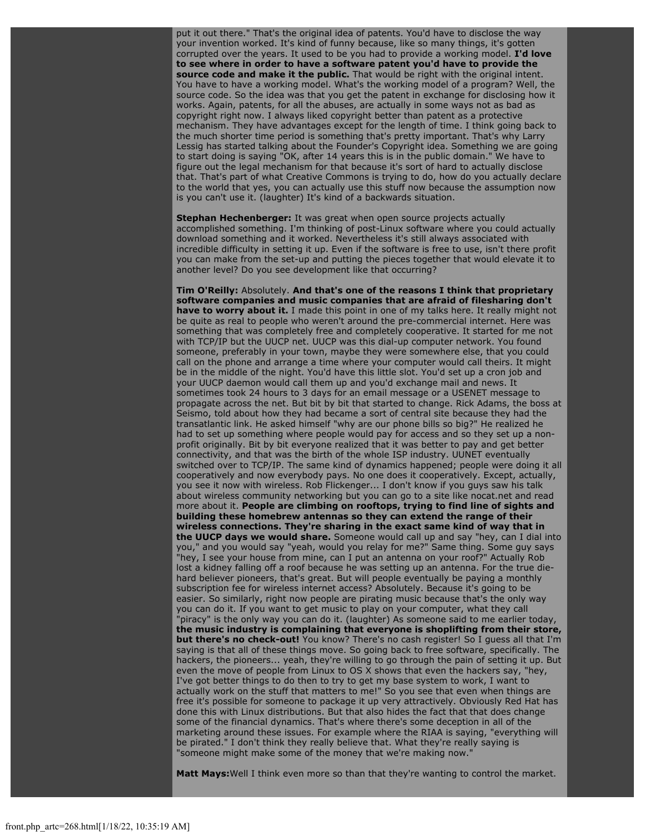put it out there." That's the original idea of patents. You'd have to disclose the way your invention worked. It's kind of funny because, like so many things, it's gotten corrupted over the years. It used to be you had to provide a working model. **I'd love to see where in order to have a software patent you'd have to provide the source code and make it the public.** That would be right with the original intent. You have to have a working model. What's the working model of a program? Well, the source code. So the idea was that you get the patent in exchange for disclosing how it works. Again, patents, for all the abuses, are actually in some ways not as bad as copyright right now. I always liked copyright better than patent as a protective mechanism. They have advantages except for the length of time. I think going back to the much shorter time period is something that's pretty important. That's why Larry Lessig has started talking about the Founder's Copyright idea. Something we are going to start doing is saying "OK, after 14 years this is in the public domain." We have to figure out the legal mechanism for that because it's sort of hard to actually disclose that. That's part of what Creative Commons is trying to do, how do you actually declare to the world that yes, you can actually use this stuff now because the assumption now is you can't use it. (laughter) It's kind of a backwards situation.

**Stephan Hechenberger:** It was great when open source projects actually accomplished something. I'm thinking of post-Linux software where you could actually download something and it worked. Nevertheless it's still always associated with incredible difficulty in setting it up. Even if the software is free to use, isn't there profit you can make from the set-up and putting the pieces together that would elevate it to another level? Do you see development like that occurring?

**Tim O'Reilly:** Absolutely. **And that's one of the reasons I think that proprietary software companies and music companies that are afraid of filesharing don't have to worry about it.** I made this point in one of my talks here. It really might not be quite as real to people who weren't around the pre-commercial internet. Here was something that was completely free and completely cooperative. It started for me not with TCP/IP but the UUCP net. UUCP was this dial-up computer network. You found someone, preferably in your town, maybe they were somewhere else, that you could call on the phone and arrange a time where your computer would call theirs. It might be in the middle of the night. You'd have this little slot. You'd set up a cron job and your UUCP daemon would call them up and you'd exchange mail and news. It sometimes took 24 hours to 3 days for an email message or a USENET message to propagate across the net. But bit by bit that started to change. Rick Adams, the boss at Seismo, told about how they had became a sort of central site because they had the transatlantic link. He asked himself "why are our phone bills so big?" He realized he had to set up something where people would pay for access and so they set up a nonprofit originally. Bit by bit everyone realized that it was better to pay and get better connectivity, and that was the birth of the whole ISP industry. UUNET eventually switched over to TCP/IP. The same kind of dynamics happened; people were doing it all cooperatively and now everybody pays. No one does it cooperatively. Except, actually, you see it now with wireless. Rob Flickenger... I don't know if you guys saw his talk about wireless community networking but you can go to a site like nocat.net and read more about it. **People are climbing on rooftops, trying to find line of sights and building these homebrew antennas so they can extend the range of their wireless connections. They're sharing in the exact same kind of way that in the UUCP days we would share.** Someone would call up and say "hey, can I dial into you," and you would say "yeah, would you relay for me?" Same thing. Some guy says "hey, I see your house from mine, can I put an antenna on your roof?" Actually Rob lost a kidney falling off a roof because he was setting up an antenna. For the true diehard believer pioneers, that's great. But will people eventually be paying a monthly subscription fee for wireless internet access? Absolutely. Because it's going to be easier. So similarly, right now people are pirating music because that's the only way you can do it. If you want to get music to play on your computer, what they call "piracy" is the only way you can do it. (laughter) As someone said to me earlier today, **the music industry is complaining that everyone is shoplifting from their store, but there's no check-out!** You know? There's no cash register! So I guess all that I'm saying is that all of these things move. So going back to free software, specifically. The hackers, the pioneers... yeah, they're willing to go through the pain of setting it up. But even the move of people from Linux to OS X shows that even the hackers say, "hey, I've got better things to do then to try to get my base system to work, I want to actually work on the stuff that matters to me!" So you see that even when things are free it's possible for someone to package it up very attractively. Obviously Red Hat has done this with Linux distributions. But that also hides the fact that that does change some of the financial dynamics. That's where there's some deception in all of the marketing around these issues. For example where the RIAA is saying, "everything will be pirated." I don't think they really believe that. What they're really saying is "someone might make some of the money that we're making now."

**Matt Mays:**Well I think even more so than that they're wanting to control the market.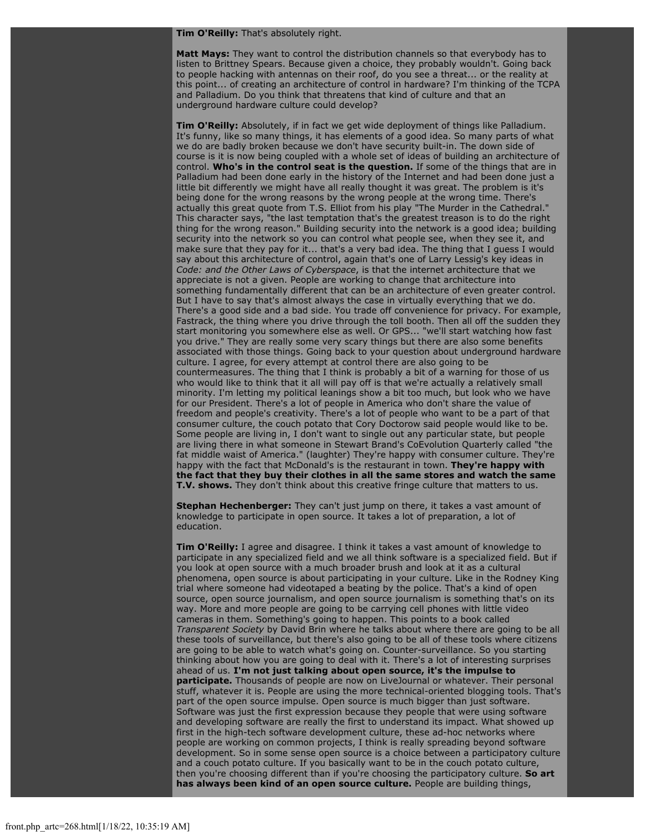#### **Tim O'Reilly:** That's absolutely right.

**Matt Mays:** They want to control the distribution channels so that everybody has to listen to Brittney Spears. Because given a choice, they probably wouldn't. Going back to people hacking with antennas on their roof, do you see a threat... or the reality at this point... of creating an architecture of control in hardware? I'm thinking of the TCPA and Palladium. Do you think that threatens that kind of culture and that an underground hardware culture could develop?

**Tim O'Reilly:** Absolutely, if in fact we get wide deployment of things like Palladium. It's funny, like so many things, it has elements of a good idea. So many parts of what we do are badly broken because we don't have security built-in. The down side of course is it is now being coupled with a whole set of ideas of building an architecture of control. **Who's in the control seat is the question.** If some of the things that are in Palladium had been done early in the history of the Internet and had been done just a little bit differently we might have all really thought it was great. The problem is it's being done for the wrong reasons by the wrong people at the wrong time. There's actually this great quote from T.S. Elliot from his play "The Murder in the Cathedral." This character says, "the last temptation that's the greatest treason is to do the right thing for the wrong reason." Building security into the network is a good idea; building security into the network so you can control what people see, when they see it, and make sure that they pay for it... that's a very bad idea. The thing that I guess I would say about this architecture of control, again that's one of Larry Lessig's key ideas in *Code: and the Other Laws of Cyberspace*, is that the internet architecture that we appreciate is not a given. People are working to change that architecture into something fundamentally different that can be an architecture of even greater control. But I have to say that's almost always the case in virtually everything that we do. There's a good side and a bad side. You trade off convenience for privacy. For example, Fastrack, the thing where you drive through the toll booth. Then all off the sudden they start monitoring you somewhere else as well. Or GPS... "we'll start watching how fast you drive." They are really some very scary things but there are also some benefits associated with those things. Going back to your question about underground hardware culture. I agree, for every attempt at control there are also going to be countermeasures. The thing that I think is probably a bit of a warning for those of us who would like to think that it all will pay off is that we're actually a relatively small minority. I'm letting my political leanings show a bit too much, but look who we have for our President. There's a lot of people in America who don't share the value of freedom and people's creativity. There's a lot of people who want to be a part of that consumer culture, the couch potato that Cory Doctorow said people would like to be. Some people are living in, I don't want to single out any particular state, but people are living there in what someone in Stewart Brand's CoEvolution Quarterly called "the fat middle waist of America." (laughter) They're happy with consumer culture. They're happy with the fact that McDonald's is the restaurant in town. **They're happy with the fact that they buy their clothes in all the same stores and watch the same T.V. shows.** They don't think about this creative fringe culture that matters to us.

**Stephan Hechenberger:** They can't just jump on there, it takes a vast amount of knowledge to participate in open source. It takes a lot of preparation, a lot of education.

**Tim O'Reilly:** I agree and disagree. I think it takes a vast amount of knowledge to participate in any specialized field and we all think software is a specialized field. But if you look at open source with a much broader brush and look at it as a cultural phenomena, open source is about participating in your culture. Like in the Rodney King trial where someone had videotaped a beating by the police. That's a kind of open source, open source journalism, and open source journalism is something that's on its way. More and more people are going to be carrying cell phones with little video cameras in them. Something's going to happen. This points to a book called *Transparent Society* by David Brin where he talks about where there are going to be all these tools of surveillance, but there's also going to be all of these tools where citizens are going to be able to watch what's going on. Counter-surveillance. So you starting thinking about how you are going to deal with it. There's a lot of interesting surprises ahead of us. **I'm not just talking about open source, it's the impulse to participate.** Thousands of people are now on LiveJournal or whatever. Their personal stuff, whatever it is. People are using the more technical-oriented blogging tools. That's part of the open source impulse. Open source is much bigger than just software. Software was just the first expression because they people that were using software and developing software are really the first to understand its impact. What showed up first in the high-tech software development culture, these ad-hoc networks where people are working on common projects, I think is really spreading beyond software development. So in some sense open source is a choice between a participatory culture and a couch potato culture. If you basically want to be in the couch potato culture, then you're choosing different than if you're choosing the participatory culture. **So art has always been kind of an open source culture.** People are building things,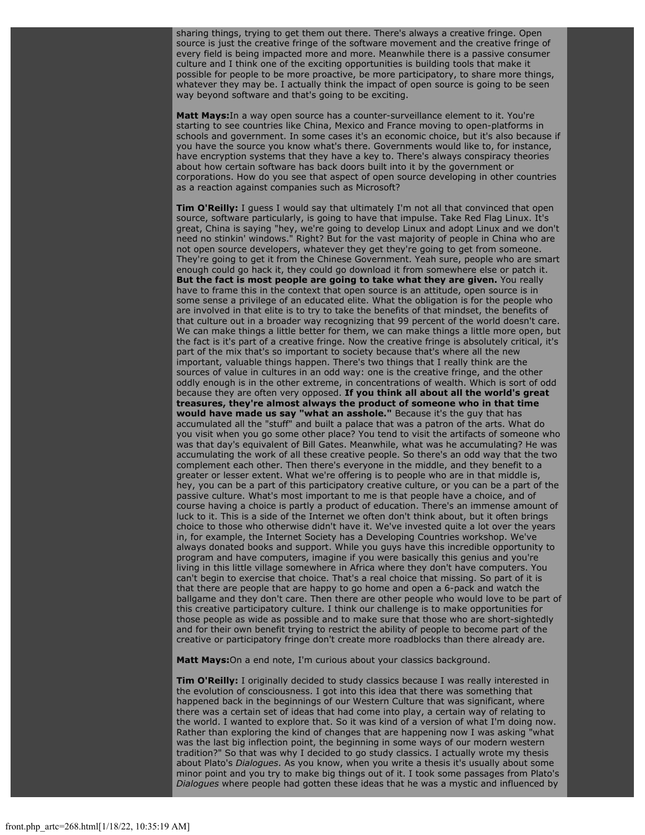sharing things, trying to get them out there. There's always a creative fringe. Open source is just the creative fringe of the software movement and the creative fringe of every field is being impacted more and more. Meanwhile there is a passive consumer culture and I think one of the exciting opportunities is building tools that make it possible for people to be more proactive, be more participatory, to share more things, whatever they may be. I actually think the impact of open source is going to be seen way beyond software and that's going to be exciting.

**Matt Mays:**In a way open source has a counter-surveillance element to it. You're starting to see countries like China, Mexico and France moving to open-platforms in schools and government. In some cases it's an economic choice, but it's also because if you have the source you know what's there. Governments would like to, for instance, have encryption systems that they have a key to. There's always conspiracy theories about how certain software has back doors built into it by the government or corporations. How do you see that aspect of open source developing in other countries as a reaction against companies such as Microsoft?

**Tim O'Reilly:** I guess I would say that ultimately I'm not all that convinced that open source, software particularly, is going to have that impulse. Take Red Flag Linux. It's great, China is saying "hey, we're going to develop Linux and adopt Linux and we don't need no stinkin' windows." Right? But for the vast majority of people in China who are not open source developers, whatever they get they're going to get from someone. They're going to get it from the Chinese Government. Yeah sure, people who are smart enough could go hack it, they could go download it from somewhere else or patch it. **But the fact is most people are going to take what they are given.** You really have to frame this in the context that open source is an attitude, open source is in some sense a privilege of an educated elite. What the obligation is for the people who are involved in that elite is to try to take the benefits of that mindset, the benefits of that culture out in a broader way recognizing that 99 percent of the world doesn't care. We can make things a little better for them, we can make things a little more open, but the fact is it's part of a creative fringe. Now the creative fringe is absolutely critical, it's part of the mix that's so important to society because that's where all the new important, valuable things happen. There's two things that I really think are the sources of value in cultures in an odd way: one is the creative fringe, and the other oddly enough is in the other extreme, in concentrations of wealth. Which is sort of odd because they are often very opposed. **If you think all about all the world's great treasures, they're almost always the product of someone who in that time would have made us say "what an asshole."** Because it's the guy that has accumulated all the "stuff" and built a palace that was a patron of the arts. What do you visit when you go some other place? You tend to visit the artifacts of someone who was that day's equivalent of Bill Gates. Meanwhile, what was he accumulating? He was accumulating the work of all these creative people. So there's an odd way that the two complement each other. Then there's everyone in the middle, and they benefit to a greater or lesser extent. What we're offering is to people who are in that middle is, hey, you can be a part of this participatory creative culture, or you can be a part of the passive culture. What's most important to me is that people have a choice, and of course having a choice is partly a product of education. There's an immense amount of luck to it. This is a side of the Internet we often don't think about, but it often brings choice to those who otherwise didn't have it. We've invested quite a lot over the years in, for example, the Internet Society has a Developing Countries workshop. We've always donated books and support. While you guys have this incredible opportunity to program and have computers, imagine if you were basically this genius and you're living in this little village somewhere in Africa where they don't have computers. You can't begin to exercise that choice. That's a real choice that missing. So part of it is that there are people that are happy to go home and open a 6-pack and watch the ballgame and they don't care. Then there are other people who would love to be part of this creative participatory culture. I think our challenge is to make opportunities for those people as wide as possible and to make sure that those who are short-sightedly and for their own benefit trying to restrict the ability of people to become part of the creative or participatory fringe don't create more roadblocks than there already are.

**Matt Mays:**On a end note, I'm curious about your classics background.

**Tim O'Reilly:** I originally decided to study classics because I was really interested in the evolution of consciousness. I got into this idea that there was something that happened back in the beginnings of our Western Culture that was significant, where there was a certain set of ideas that had come into play, a certain way of relating to the world. I wanted to explore that. So it was kind of a version of what I'm doing now. Rather than exploring the kind of changes that are happening now I was asking "what was the last big inflection point, the beginning in some ways of our modern western tradition?" So that was why I decided to go study classics. I actually wrote my thesis about Plato's *Dialogues*. As you know, when you write a thesis it's usually about some minor point and you try to make big things out of it. I took some passages from Plato's *Dialogues* where people had gotten these ideas that he was a mystic and influenced by